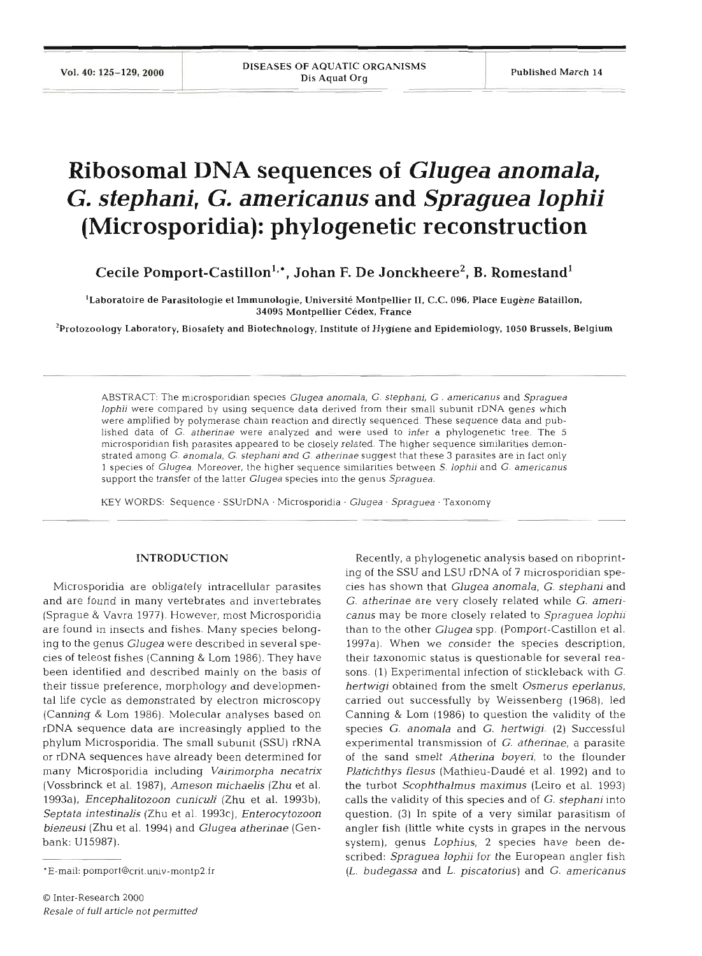# **Ribosomal DNA sequences of** *Glugea anomala, G. stephani, G. americanus* and *Spraguea lophii* **(Microsporidia): phylogenetic reconstruction**

**Cecile Pomport-Castillon<sup>1,\*</sup>, Johan F. De Jonckheere<sup>2</sup>, B. Romestand<sup>1</sup>** 

'Laboratoire de Parasitologie et Immunologie, Universite Montpellier 11, C.C. **096,** Place Eugene Bataillon, **34095** Montpellier Cedex, France

2Protozoology Laboratory, Biosafety and Biotechnology, Institute of Hygiene and Epidemiology, **1050** Brussels, Belgium

ABSTRACT: The microsporidian species Glugea anomala, G. stephani, G . americanus and Spraguea lophii were compared by using sequence data derived from their small subunit rDNA genes which were amplified by polymerase chain reaction and directly sequenced. These sequence data and published data of G. atherinae were analyzed and were used to infer a phylogenetic tree. The 5 microsporidian fish parasites appeared to be closely related. The higher sequence similarities demonstrated among G. anomala, G. stephani and G. atherinae suggest that these 3 parasites are in fact only 1 species of Glugea. Moreover, the higher sequence similarities between S. lophii and G. americanus support the transfer of the latter Glugea species into the genus Spraguea.

KEY WORDS: Sequence. SSUrDNA . Microsporidia . Glugea . Spraguea . Taxonomy

### **INTRODUCTION**

Microsporidia are obligately intracellular parasites and are found in many vertebrates and invertebrates (Sprague & Vavra 1977). However, most Microsporidia are found in insects and fishes. Many species belonging to the genus *Glugea* were described in several species of teleost fishes (Canning & Lom 1986). They have been identified and described mainly on the basis of their tissue preference, morphology and developmental life cycle as demonstrated by electron microscopy (Canning & Lom 1986). Molecular analyses based on rDNA sequence data are increasingly applied to the phylum Microsporidia. The small subunit (SSU) rRNA or rDNA sequences have already been determined for many Microsporidia including *Vairimorpha neca trix*  (Vossbrinck et al. 1987), *Ameson michaelis* (Zhu et al. 1993a), *Encephalitozoon cuniculi* (Zhu et al. 1993b), *Septata intestinalis* (Zhu et al. 1993c), *Enterocytozoon bieneusi* (Zhu et al. 1994) and *Glugea atherinae* (Genbank: U15987).

Recently, a phylogenetic analysis based on riboprinting of the SSU and LSU rDNA of 7 microsporidian species has shown that *Glugea anomala,* G. *stephani* and *G. atherinae* are very closely related while *G. arnericanus* may be more closely related to *Spraguea lophii*  than to the other *Glugea* spp. (Pomport-Castillon et al. 1997a). When we consider the species description, their taxonomic status is questionable for several reasons. (1) Experimental infection of stickleback with G. *hertwigi* obtained from the smelt *Osmerus eperlanus,*  carried out successfully by Weissenberg (1968), led Canning & Lom (1986) to question the validity of the species **G.** *anomala* and *G. hertwigi.* (2) Successful experimental transmission of *G. athennae,* a parasite of the sand smelt *Atherina boyen,* to the flounder *Platichthys flesus* (Mathieu-Daude et al. 1992) and to the turbot *Scophthalmus maximus* (Leiro et al. 1993) calls the validity of this species and of *G. stephani* into question. *(3)* In spite of a very similar parasitism of angler fish (little white cysts in grapes in the nervous system), genus *Lophius,* 2 species have been described: *Spraguea lophii* for the European angler fish (L. *budegassa* and *L. piscatorius)* and *G. americanus* 

<sup>\*</sup>E-mail: pomport@crit.univ-montp2.fr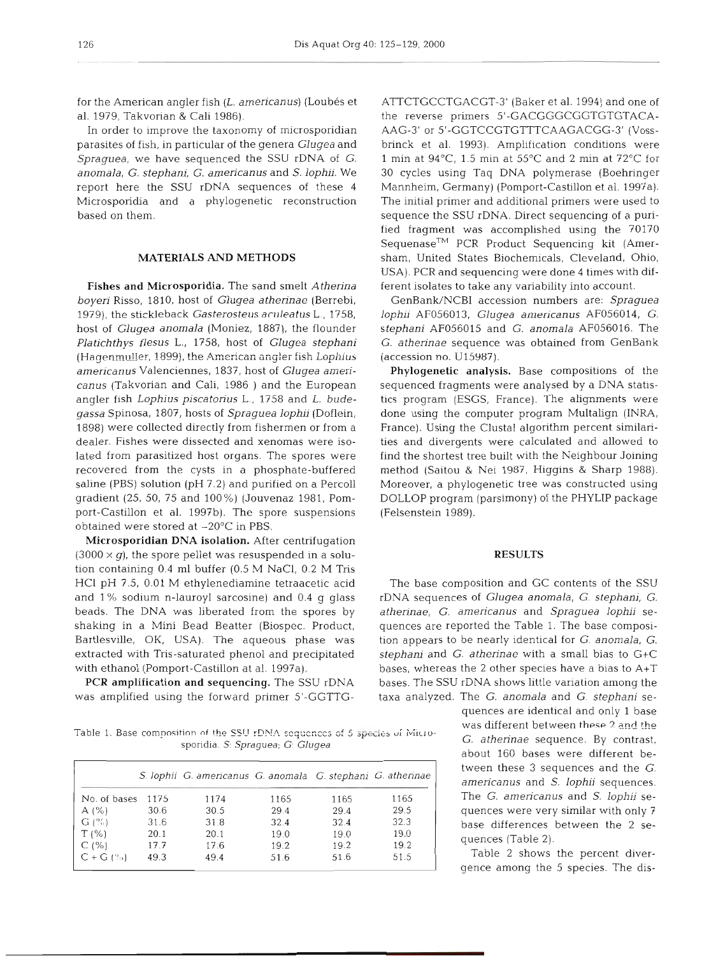for the American angler fish (L. americanus) (Loubés et al. 1979, Takvorian & Cali 1986).

In order to improve the taxonomy of microsporidian parasites of fish, in particular of the genera *Glugea* and *Spraguea,* we have sequenced the SSU rDNA of *G. anomala, G. stephani, G. americanus* and *S. lophii.* We report here the SSU rDNA sequences of these 4 Microsporidia and a phylogenetic reconstruction based on them.

## MATERIALS **AND METHODS**

**Fishes and Microsporidia.** The sand smelt *Atherina boyeri* Risso, 1810, host of *Glugea atherinae* (Berrebi, 1979), the stickleback *Gasterosteus actlleatus* L., 1758, host of *Glugea anomala* (Moniez, 1887), the flounder *Platichthys flesus* L., 1758, host of *Glugea stephani*  (Hagenmuller, 1899), the American angler fish *Lophius americanus* Valenciennes, 1837, host of *Glugea amencanus* (Takvorian and Cali, 1986 ) and the European angler fish *Lophius piscatorius* L., 1758 and *L. budegassa* Spinosa, 1807, hosts of *Spraguea lophii* (Doflein, 1898) were collected directly from fishermen or from a dealer. Fishes were dissected and xenomas were isolated from parasitized host organs. The spores were recovered from the cysts in a phosphate-buffered saline (PBS) solution (pH 7.2) and purified on a Percoll gradient (25, 50, 75 and 100%) (Jouvenaz 1981, Pomport-Castillon et al. 1997b). The spore suspensions obtained were stored at -20°C in PBS.

**Microsporidian DNA isolation.** After centrifugation  $(3000 \times g)$ , the spore pellet was resuspended in a solution containing 0.4 m1 buffer (0.5 M NaCl, 0.2 M Tris HC1 pH 7.5, 0.01 M ethylenediamine tetraacetic acid and 1 % sodium n-lauroyl sarcosine) and 0.4 g glass beads. The DNA was liberated from the spores by shaking in a Mini Bead Beatter (Biospec. Product, Bartlesville, OK, USA). The aqueous phase was extracted with Tris-saturated phenol and precipitated with ethanol (Pomport-Castillon at al. 1997a).

PCR **amplification and sequencing.** The SSU rDNA was amplified using the forward primer 5'-GGTTG-

*Table 1. Base composition of the SSU rDNA sequences of 5*  $\frac{1}{2}$ *<sup>2</sup>*  $\frac{1}{2}$ *<sup>2</sup>*  $\frac{1}{2}$ *<sup>2</sup>*  $\frac{1}{2}$ *<sup>2</sup> sporidia. S: Spraguea; G Glugea* 

|                |      | S. lophii G. americanus G. anomala G. stephani G. atherinae |      |      |      |
|----------------|------|-------------------------------------------------------------|------|------|------|
| No. of bases   | 1175 | 1174                                                        | 1165 | 1165 | 1165 |
| A(%)           | 30.6 | 30.5                                                        | 29.4 | 29.4 | 29.5 |
| G(%)           | 31.6 | 31.8                                                        | 32.4 | 32.4 | 32.3 |
| T(% )          | 20.1 | 20.1                                                        | 19.0 | 19.0 | 19.0 |
| C(%)           | 17.7 | 17.6                                                        | 19.2 | 19.2 | 19.2 |
| $C + G$ $($ %) | 49.3 | 49.4                                                        | 51.6 | 51.6 | 51.5 |

ATTCTGCCTGACGT-3' (Baker et al. 1994) and one of the reverse primers 5'-GACGGGCGGTGTGTACA-AAG-3' or 5'-GGTCCGTGTTTCAAGACGG-3' (Vossbrinck et al. 1993). Amplification conditions were 1 min at  $94^{\circ}$ C, 1.5 min at  $55^{\circ}$ C and 2 min at  $72^{\circ}$ C for 30 cycles using Taq DNA polymerase (Boehringer Mannheim, Germany) (Pomport-Castillon et al. 1997a). The initial primer and additional primers were used to sequence the SSU rDNA. Direct sequencing of a purified fragment was accomplished using the 70170  $Sequence<sup>TM</sup>$  PCR Product Sequencing kit (Amersham, United States Biochemicals, Cleveland, Ohio, USA). PCR and sequencing were done 4 times with different isolates to take any variability into account.

GenBank/NCBI accession numbers are: *Spraguea lophii* AF056013, *Glugea americanus* AF056014, *G. stephani* AF056015 and *G. anomala* AF056016. The *G. atherinae* sequence was obtained from GenBank (accession no. **U15987).** 

**Phylogenetic analysis.** Base compositions of the sequenced fragments were analysed by a DNA statistics program (ESGS, France). The alignments were done using the computer program Multalign (INRA, France). Using the Clustal algorithm percent similarities and divergents were calculated and allowed to find the shortest tree built with the Neighbour Joining method (Saitou & Nei 1987, Higgins & Sharp 1988). Moreover, a phylogenetic tree was constructed using DOLLOP program (parsimony) of the PHYLIP package (Felsenstein 1989).

### **RESULTS**

The base composition and GC contents of the SSU rDNA sequences of *Glugea anomala,* G. *stephani, G. athennae, G. americanus* and *Spraguea lophii* sequences are reported the Table 1. The base composition appears to be nearly identical for G. *anomala,* G. *stephani* and *G. atherinae* with a small bias to G+C bases, whereas the 2 other species have a bias to A+T bases. The SSU rDNA shows little variation among the taxa analyzed. The G. *anomala* and *G. stephani* se-

quences are identical and only 1 base was different between **thew 2** and the  $G.$  *atherinae* sequence. By contrast, about 160 bases were different between these 3 sequences and the *G. americanus* and *S. lophii* sequences. The *G. americanus* and *S. lophii* sequences were very similar with only 7 base differences between the 2 sequences (Table 2).

Table 2 shows the percent diverqence among the 5 species. The dis-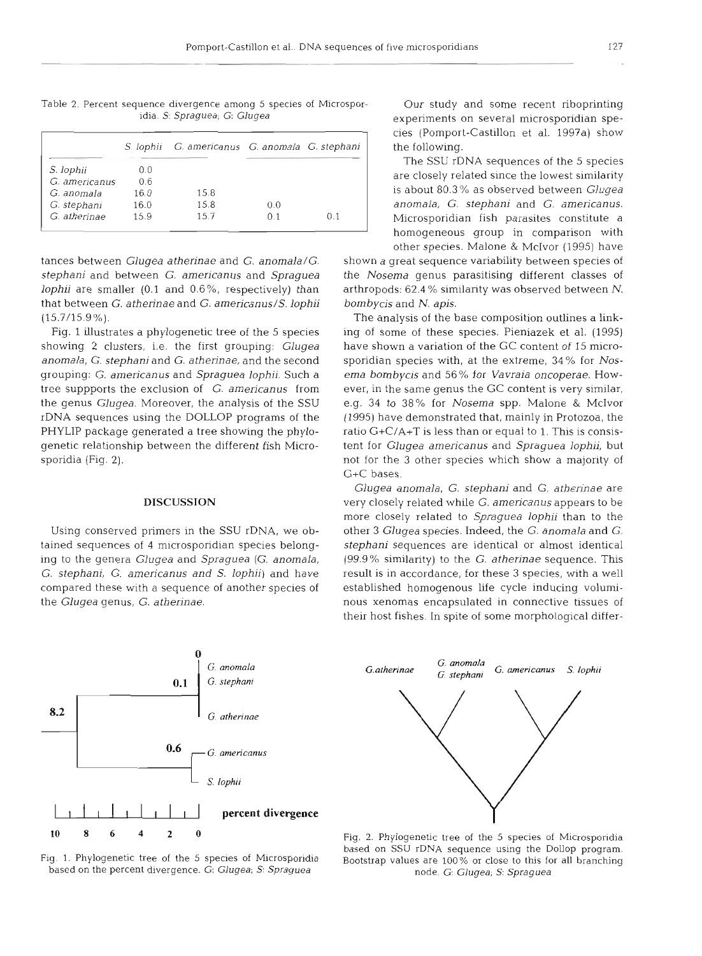S. lophil G. americanus G. anomala G. stephanl S. lophii 0.0<br>G. americanus 0.6 G. americanus G. anomala 16.0 15.8 G. stephani 16.0 15.8 0.0<br>G. atherinae 15.9 15.7 0.1

G. atherinae 15.9 15.7 0.1 0.1

Table 2. Percent sequence divergence among 5 species of Microspor- Our study and some recent riboprinting<br>idia. S: Spraguea; G: Glugea<br>experiments on several microsporidian spe-

tances between *Glugea atherinae* and *G. anomala/G.* shown a great sequence variability between species of *stephani* and between *G. americanus* and *Spraguea* the *Nosema* genus parasitising different classes of *lophii* are smaller (0.1 and 0.6%, respectively) than arthropods: 62.4% similarity was observed between N. that between *G. athennae* and *G. americanus/S. lophii bombycis* and *N. apis.*  (15.7/15.9%). The analysis of the base composition outlines a link-

showing 2 clusters, i.e. the first grouping: *Glugea* have shown a variation of the GC content of 15 micro*anomala, G. stephani* and *G. atherinae,* and the second sporidian species with, at the extreme, 34 % for *Nos*grouping: G. *americanus* and *Spraguea lophii.* Such a *ema bombycis* and *56%* for *Vavraia oncoperae.* Howtree suppports the exclusion of G. *americanus* from ever, in the same genus the GC content is very similar, the genus *Glugea.* Moreover, the analysis of the SSU e.g. 34 to 38% for *Nosema* spp. Malone & McIvor rDNA sequences using the DOLLOP programs of the (1995) have demonstrated that, mainly in Protozoa, the PHYLIP package generated a tree showing the phylo- ratio G+C/A+T is less than or equal to 1. This is consisgenetic relationship between the different fish Micro- tent for *Glugea americanus* and *Spraguea lophii,* but sporidia (Fig. 2). not for the **3** other species which show a majority of

0.6

 $8.2$ 

**0** 

L *S* Iophii

G. atherinae

G. americanus

 $\mu$  percent divergence

experiments on several microsporidian species (Pomport-Castillon et al. 1997a) show the following.

The SSU rDNA sequences of the 5 species are closely related since the lowest similarity is about 80.3 % as observed between *Glugea anomala, G, stephani* and *G. americanus.*  Microsporidian fish parasites constitute a homogeneous group in comparison with other species. Malone & McIvor (1995) have

Fig. 1 illustrates a phylogenetic tree of the 5 species ing of some of these species. Pieniazek et al. (1995) C+C bases.

*Glugea anomala,* G. *stephani* and *G. atherinae* are **DISCUSSION** very closely related while *G. amencanus* appears to be more closely related to *Spraguea lophii* than to the Using conserved primers in the SSU rDNA, we ob- other 3 *Glugea* species. Indeed, the *G. anomala* and *G.*  tained sequences of 4 microsporidian species belong- *stephani* sequences are identical or almost identical ing to the genera *Glugea* and *Spraguea (G. anomala,* (99.9% similarity) to the *G. atherinae* sequence. This *G. stephani, G. americanus and S. lophii)* and have result is in accordance, for these **3** species, with a well compared these with a sequence of another species of established homogenous life cycle inducing volumithe *Glugea* genus, *G. atherinae.* nous xenomas encapsulated in connective tissues of their host fishes. In spite of some morphological differ-



**<sup>1086420</sup>**Fig. 2. Phylogenetic tree of the 5 species of Microsporidia based on SSU rDNA sequence using the Dollop program.<br>Fig. 1. Phylogenetic tree of the 5 species of Microsporidia<br>based on the percent divergence. *G: Glugea; S: Spraguea*<br>node. *G: Glugea; S: Spraguea*<br>node. *G: Glugea; S:* 

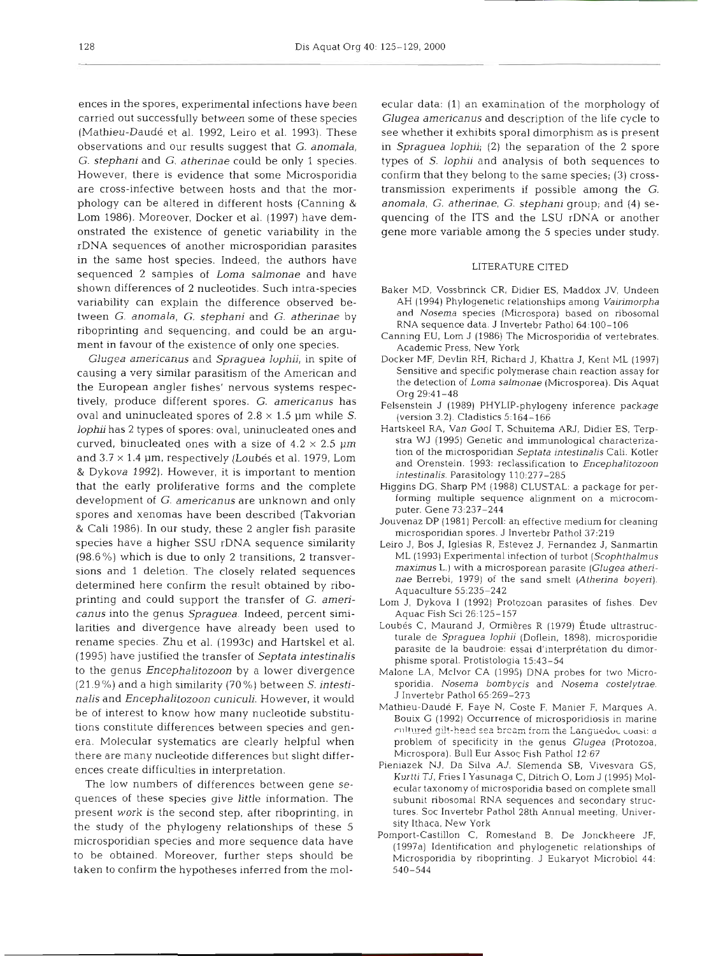ences in the spores, experimental infections have been carried out successfully between some of these species (Mathieu-Daudé et al. 1992, Leiro et al. 1993). These observations and our results suggest that G. *anomala,*  G. *stephani* and *G. atherinae* could be only 1 species. However, there is evidence that some Microsporidia are cross-infective between hosts and that the morphology can be altered in different hosts (Canning & Lom 1986). Moreover, Docker et al. (1997) have demonstrated the existence of genetic variability in the rDNA sequences of another microsporidian parasites in the same host species. Indeed, the authors have sequenced 2 samples of *Loma salmonae* and have shown differences of **2** nucleotides. Such intra-species variability can explain the difference observed between G, *anornala,* G. *stephani* and *G. atherinae* by riboprinting and sequencing, and could be an argument in favour of the existence of only one species.

*Clugea arnericaniis* and *Spraguea lophii,* in spite oi causing a very similar parasitism of the American and the European angler fishes' nervous systems respectively, produce different spores. G. *americanus* has oval and uninucleated spores of  $2.8 \times 1.5$  µm while *S*. *lophii* has 2 types of spores: oval, uninucleated ones and curved, binucleated ones with a size of  $4.2 \times 2.5$  µm and  $3.7 \times 1.4$  µm, respectively (Loubés et al. 1979, Lom & Dykova 1992). However, it is important to mention that the early proliferative forms and the complete development of G. *amencanus* are unknown and only spores and xenomas have been described (Takvorian & Cali 1986). In our study, these 2 angler fish parasite species have a higher SSU rDNA sequence similarity (98.6%) which is due to only 2 transitions, 2 transversions and 1 deletion. The closely related sequences determined here confirm the result obtained by riboprinting and could support the transfer of G. *americanus* into the genus *Spraguea.* Indeed, percent similarities and divergence have already been used to rename species. Zhu et al. (1993c) and Hartskel et al. (1995) have justified the transfer of *Septata intestinalis*  to the genus *Encephalitozoon* by a lower divergence (21.9 %) and a high similarity (70 %) between S. *intestinalis* and *Encephalitozoon cuniculi.* However, it would be of interest to know how many nucleotide substitutions constitute differences between species and genera. Molecular systematics are clearly helpful when there are many nucleotide differences but slight differences create difficulties in interpretation.

The low numbers of differences between gene sequences of these species give little information. The present work is the second step, after riboprinting, in the study of the phylogeny relationships of these 5 microsporidian species and more sequence data have to be obtained. Moreover, further steps should be taken to confirm the hypotheses inferred from the molecular data: (1) an examination of the morphology of Glugea americanus and description of the life cycle to<br>see whether it exhibits sporal dimorphism as is present<br>in *Spraguea lophii*; (2) the separation of the 2 spore<br>types of *S. lophii* and analysis of both sequences to

- 
- 
- 
- 
- Imala, G. atherinae, G. stephani group; and (4) se-<br>necing of the ITS and the LSU rDNA or another<br>energy of the ITS and the LSU rDNA or another<br>energy of the ITS and the LSU rDNA or another<br>HAH (1994) Phylogenetic relation
- 
- 
- 
- 
- 
- 
- Bouix G (1992) Occurrence of microsporidiosis in marine rultured gilt-head sea bream from the Languedoc coasi: a
- problem of specificity in the genus *Glugea* (Protozoa,<br>Microspora). Bull Eur Assoc Fish Pathol 12:67<br>iazek NJ, Da Silva AJ, Slemenda SB, Vivesvara GS,<br>Kurtti TJ, Fries I Yasunaga C, Ditrich O, Lom J (1995) Mol-<br>ecular tax
-